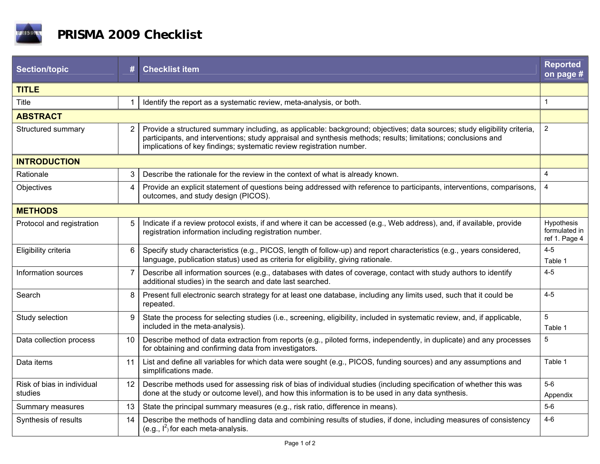

| <b>Section/topic</b>                  | #              | <b>Checklist item</b>                                                                                                                                                                                                                                                                                             | <b>Reported</b><br>on page #                 |  |
|---------------------------------------|----------------|-------------------------------------------------------------------------------------------------------------------------------------------------------------------------------------------------------------------------------------------------------------------------------------------------------------------|----------------------------------------------|--|
| <b>TITLE</b>                          |                |                                                                                                                                                                                                                                                                                                                   |                                              |  |
| <b>Title</b>                          |                | Identify the report as a systematic review, meta-analysis, or both.                                                                                                                                                                                                                                               | $\mathbf{1}$                                 |  |
| <b>ABSTRACT</b>                       |                |                                                                                                                                                                                                                                                                                                                   |                                              |  |
| Structured summary                    | $\overline{2}$ | Provide a structured summary including, as applicable: background; objectives; data sources; study eligibility criteria,<br>participants, and interventions; study appraisal and synthesis methods; results; limitations; conclusions and<br>implications of key findings; systematic review registration number. | $\boldsymbol{2}$                             |  |
| <b>INTRODUCTION</b>                   |                |                                                                                                                                                                                                                                                                                                                   |                                              |  |
| Rationale                             | 3              | Describe the rationale for the review in the context of what is already known.                                                                                                                                                                                                                                    | 4                                            |  |
| Objectives                            | $\overline{4}$ | Provide an explicit statement of questions being addressed with reference to participants, interventions, comparisons,<br>outcomes, and study design (PICOS).                                                                                                                                                     | $\overline{4}$                               |  |
| <b>METHODS</b>                        |                |                                                                                                                                                                                                                                                                                                                   |                                              |  |
| Protocol and registration             | 5              | Indicate if a review protocol exists, if and where it can be accessed (e.g., Web address), and, if available, provide<br>registration information including registration number.                                                                                                                                  | Hypothesis<br>formulated in<br>ref 1. Page 4 |  |
| Eligibility criteria                  | 6              | Specify study characteristics (e.g., PICOS, length of follow-up) and report characteristics (e.g., years considered,<br>language, publication status) used as criteria for eligibility, giving rationale.                                                                                                         | $4 - 5$<br>Table 1                           |  |
| Information sources                   | $\overline{7}$ | Describe all information sources (e.g., databases with dates of coverage, contact with study authors to identify<br>additional studies) in the search and date last searched.                                                                                                                                     | $4 - 5$                                      |  |
| Search                                | 8              | Present full electronic search strategy for at least one database, including any limits used, such that it could be<br>repeated.                                                                                                                                                                                  | $4 - 5$                                      |  |
| Study selection                       | 9              | State the process for selecting studies (i.e., screening, eligibility, included in systematic review, and, if applicable,<br>included in the meta-analysis).                                                                                                                                                      | $\overline{5}$<br>Table 1                    |  |
| Data collection process               | 10             | Describe method of data extraction from reports (e.g., piloted forms, independently, in duplicate) and any processes<br>for obtaining and confirming data from investigators.                                                                                                                                     | $\sqrt{5}$                                   |  |
| Data items                            | 11             | List and define all variables for which data were sought (e.g., PICOS, funding sources) and any assumptions and<br>simplifications made.                                                                                                                                                                          | Table 1                                      |  |
| Risk of bias in individual<br>studies | 12             | Describe methods used for assessing risk of bias of individual studies (including specification of whether this was<br>done at the study or outcome level), and how this information is to be used in any data synthesis.                                                                                         | $5-6$<br>Appendix                            |  |
| Summary measures                      | 13             | State the principal summary measures (e.g., risk ratio, difference in means).                                                                                                                                                                                                                                     | $5-6$                                        |  |
| Synthesis of results                  | 14             | Describe the methods of handling data and combining results of studies, if done, including measures of consistency<br>(e.g., $I^2$ ) for each meta-analysis.                                                                                                                                                      | $4 - 6$                                      |  |